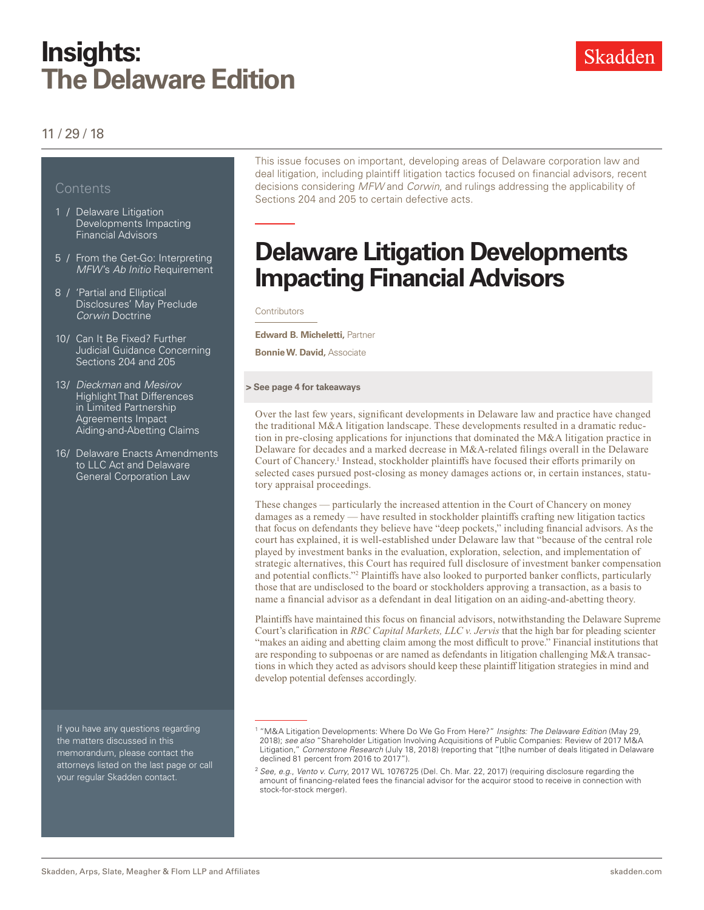# **Insights: The Delaware Edition**

### 11 / 29 / 18

### **Contents**

- 1 / Delaware Litigation Developments Impacting Financial Advisors
- 5 / From the Get-Go: Interpreting *MFW*'s *Ab Initio* Requirement
- 8 / 'Partial and Elliptical Disclosures' May Preclude *Corwin* Doctrine
- 10/ Can It Be Fixed? Further Judicial Guidance Concerning Sections 204 and 205
- 13/ *Dieckman* and *Mesirov* **Highlight That Differences** in Limited Partnership Agreements Impact Aiding-and-Abetting Claims
- 16/ Delaware Enacts Amendments to LLC Act and Delaware General Corporation Law

If you have any questions regarding the matters discussed in this memorandum, please contact the attorneys listed on the last page or call your regular Skadden contact.

This issue focuses on important, developing areas of Delaware corporation law and deal litigation, including plaintiff litigation tactics focused on financial advisors, recent decisions considering *MFW* and *Corwin*, and rulings addressing the applicability of Sections 204 and 205 to certain defective acts.

# **Delaware Litigation Developments Impacting Financial Advisors**

**Contributors** 

**Edward B. Micheletti,** Partner

**Bonnie W. David,** Associate

#### **> See page 4 for takeaways**

Over the last few years, significant developments in Delaware law and practice have changed the traditional M&A litigation landscape. These developments resulted in a dramatic reduction in pre-closing applications for injunctions that dominated the M&A litigation practice in Delaware for decades and a marked decrease in M&A-related filings overall in the Delaware Court of Chancery.<sup>1</sup> Instead, stockholder plaintiffs have focused their efforts primarily on selected cases pursued post-closing as money damages actions or, in certain instances, statutory appraisal proceedings.

These changes — particularly the increased attention in the Court of Chancery on money damages as a remedy — have resulted in stockholder plaintiffs crafting new litigation tactics that focus on defendants they believe have "deep pockets," including financial advisors. As the court has explained, it is well-established under Delaware law that "because of the central role played by investment banks in the evaluation, exploration, selection, and implementation of strategic alternatives, this Court has required full disclosure of investment banker compensation and potential conflicts."2 Plaintiffs have also looked to purported banker conflicts, particularly those that are undisclosed to the board or stockholders approving a transaction, as a basis to name a financial advisor as a defendant in deal litigation on an aiding-and-abetting theory.

Plaintiffs have maintained this focus on financial advisors, notwithstanding the Delaware Supreme Court's clarification in *RBC Capital Markets, LLC v. Jervis* that the high bar for pleading scienter "makes an aiding and abetting claim among the most difficult to prove." Financial institutions that are responding to subpoenas or are named as defendants in litigation challenging M&A transactions in which they acted as advisors should keep these plaintiff litigation strategies in mind and develop potential defenses accordingly.

<sup>1</sup> "M&A Litigation Developments: Where Do We Go From Here?" *Insights: The Delaware Edition* (May 29, 2018); *see also* "Shareholder Litigation Involving Acquisitions of Public Companies: Review of 2017 M&A Litigation," *Cornerstone Research* (July 18, 2018) (reporting that "[t]he number of deals litigated in Delaware declined 81 percent from 2016 to 2017").

<sup>2</sup> *See*, *e.g*., *Vento v. Curry*, 2017 WL 1076725 (Del. Ch. Mar. 22, 2017) (requiring disclosure regarding the amount of financing-related fees the financial advisor for the acquiror stood to receive in connection with stock-for-stock merger).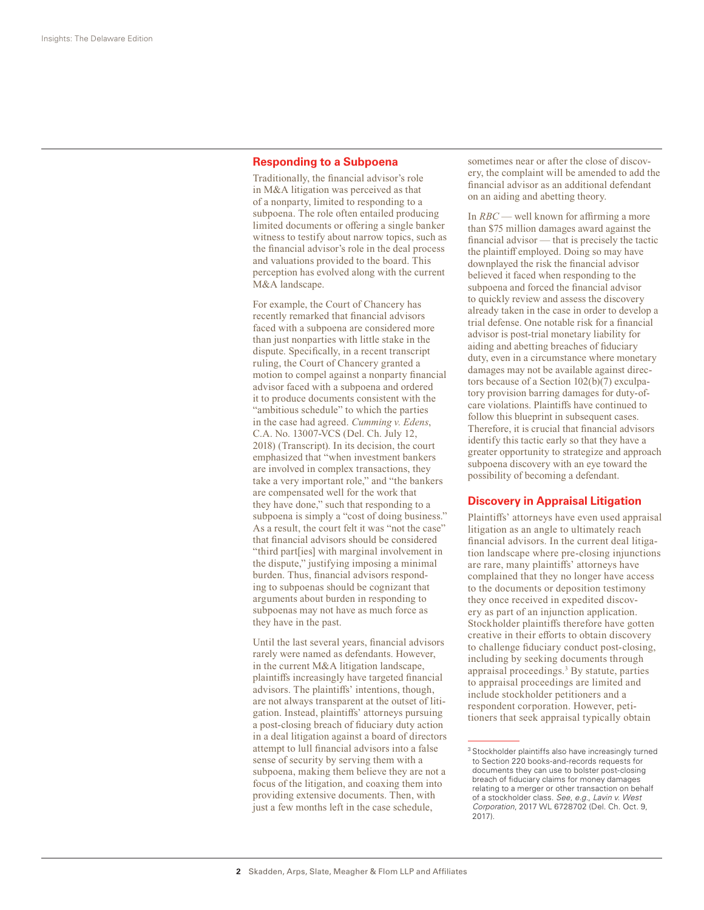#### **Responding to a Subpoena**

Traditionally, the financial advisor's role in M&A litigation was perceived as that of a nonparty, limited to responding to a subpoena. The role often entailed producing limited documents or offering a single banker witness to testify about narrow topics, such as the financial advisor's role in the deal process and valuations provided to the board. This perception has evolved along with the current M&A landscape.

For example, the Court of Chancery has recently remarked that financial advisors faced with a subpoena are considered more than just nonparties with little stake in the dispute. Specifically, in a recent transcript ruling, the Court of Chancery granted a motion to compel against a nonparty financial advisor faced with a subpoena and ordered it to produce documents consistent with the "ambitious schedule" to which the parties in the case had agreed. *Cumming v. Edens*, C.A. No. 13007-VCS (Del. Ch. July 12, 2018) (Transcript). In its decision, the court emphasized that "when investment bankers are involved in complex transactions, they take a very important role," and "the bankers are compensated well for the work that they have done," such that responding to a subpoena is simply a "cost of doing business." As a result, the court felt it was "not the case" that financial advisors should be considered "third part[ies] with marginal involvement in the dispute," justifying imposing a minimal burden. Thus, financial advisors responding to subpoenas should be cognizant that arguments about burden in responding to subpoenas may not have as much force as they have in the past.

Until the last several years, financial advisors rarely were named as defendants. However, in the current M&A litigation landscape, plaintiffs increasingly have targeted financial advisors. The plaintiffs' intentions, though, are not always transparent at the outset of litigation. Instead, plaintiffs' attorneys pursuing a post-closing breach of fiduciary duty action in a deal litigation against a board of directors attempt to lull financial advisors into a false sense of security by serving them with a subpoena, making them believe they are not a focus of the litigation, and coaxing them into providing extensive documents. Then, with just a few months left in the case schedule,

sometimes near or after the close of discovery, the complaint will be amended to add the financial advisor as an additional defendant on an aiding and abetting theory.

In *RBC* — well known for affirming a more than \$75 million damages award against the financial advisor — that is precisely the tactic the plaintiff employed. Doing so may have downplayed the risk the financial advisor believed it faced when responding to the subpoena and forced the financial advisor to quickly review and assess the discovery already taken in the case in order to develop a trial defense. One notable risk for a financial advisor is post-trial monetary liability for aiding and abetting breaches of fiduciary duty, even in a circumstance where monetary damages may not be available against directors because of a Section 102(b)(7) exculpatory provision barring damages for duty-ofcare violations. Plaintiffs have continued to follow this blueprint in subsequent cases. Therefore, it is crucial that financial advisors identify this tactic early so that they have a greater opportunity to strategize and approach subpoena discovery with an eye toward the possibility of becoming a defendant.

#### **Discovery in Appraisal Litigation**

Plaintiffs' attorneys have even used appraisal litigation as an angle to ultimately reach financial advisors. In the current deal litigation landscape where pre-closing injunctions are rare, many plaintiffs' attorneys have complained that they no longer have access to the documents or deposition testimony they once received in expedited discovery as part of an injunction application. Stockholder plaintiffs therefore have gotten creative in their efforts to obtain discovery to challenge fiduciary conduct post-closing, including by seeking documents through appraisal proceedings.3 By statute, parties to appraisal proceedings are limited and include stockholder petitioners and a respondent corporation. However, petitioners that seek appraisal typically obtain

<sup>&</sup>lt;sup>3</sup> Stockholder plaintiffs also have increasingly turned to Section 220 books-and-records requests for documents they can use to bolster post-closing breach of fiduciary claims for money damages relating to a merger or other transaction on behalf of a stockholder class. *See*, *e.g*., *Lavin v. West Corporation*, 2017 WL 6728702 (Del. Ch. Oct. 9, 2017).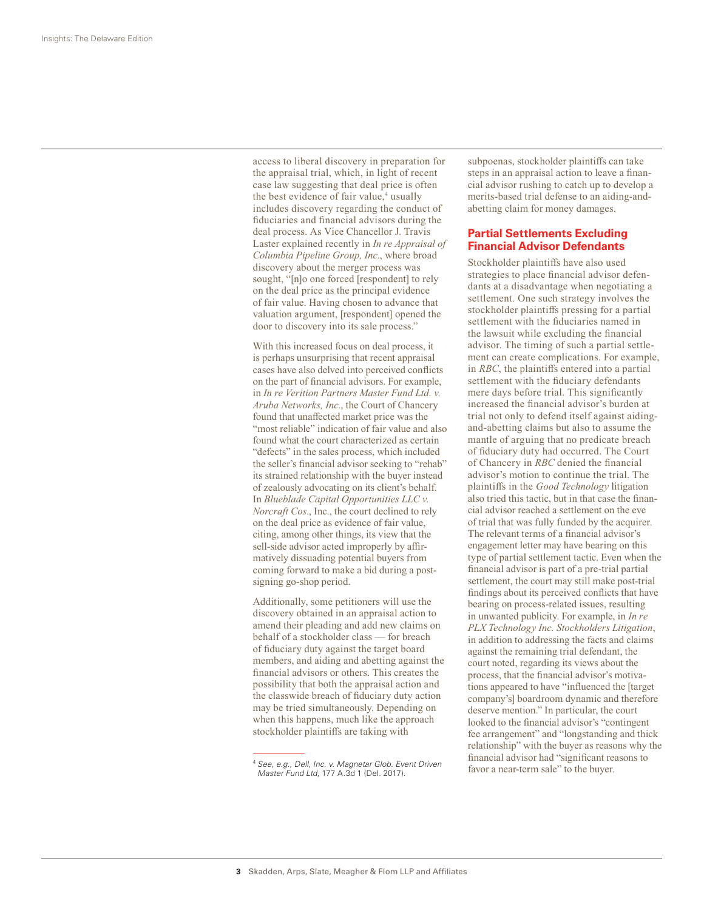access to liberal discovery in preparation for the appraisal trial, which, in light of recent case law suggesting that deal price is often the best evidence of fair value,<sup>4</sup> usually includes discovery regarding the conduct of fiduciaries and financial advisors during the deal process. As Vice Chancellor J. Travis Laster explained recently in *In re Appraisal of Columbia Pipeline Group, Inc.*, where broad discovery about the merger process was sought, "[n]o one forced [respondent] to rely on the deal price as the principal evidence of fair value. Having chosen to advance that valuation argument, [respondent] opened the door to discovery into its sale process."

With this increased focus on deal process, it is perhaps unsurprising that recent appraisal cases have also delved into perceived conflicts on the part of financial advisors. For example, in *In re Verition Partners Master Fund Ltd. v. Aruba Networks, Inc.*, the Court of Chancery found that unaffected market price was the "most reliable" indication of fair value and also found what the court characterized as certain "defects" in the sales process, which included the seller's financial advisor seeking to "rehab" its strained relationship with the buyer instead of zealously advocating on its client's behalf. In *Blueblade Capital Opportunities LLC v. Norcraft Cos*., Inc., the court declined to rely on the deal price as evidence of fair value, citing, among other things, its view that the sell-side advisor acted improperly by affirmatively dissuading potential buyers from coming forward to make a bid during a postsigning go-shop period.

Additionally, some petitioners will use the discovery obtained in an appraisal action to amend their pleading and add new claims on behalf of a stockholder class — for breach of fiduciary duty against the target board members, and aiding and abetting against the financial advisors or others. This creates the possibility that both the appraisal action and the classwide breach of fiduciary duty action may be tried simultaneously. Depending on when this happens, much like the approach stockholder plaintiffs are taking with

subpoenas, stockholder plaintiffs can take steps in an appraisal action to leave a financial advisor rushing to catch up to develop a merits-based trial defense to an aiding-andabetting claim for money damages.

#### **Partial Settlements Excluding Financial Advisor Defendants**

Stockholder plaintiffs have also used strategies to place financial advisor defendants at a disadvantage when negotiating a settlement. One such strategy involves the stockholder plaintiffs pressing for a partial settlement with the fiduciaries named in the lawsuit while excluding the financial advisor. The timing of such a partial settlement can create complications. For example, in *RBC*, the plaintiffs entered into a partial settlement with the fiduciary defendants mere days before trial. This significantly increased the financial advisor's burden at trial not only to defend itself against aidingand-abetting claims but also to assume the mantle of arguing that no predicate breach of fiduciary duty had occurred. The Court of Chancery in *RBC* denied the financial advisor's motion to continue the trial. The plaintiffs in the *Good Technology* litigation also tried this tactic, but in that case the financial advisor reached a settlement on the eve of trial that was fully funded by the acquirer. The relevant terms of a financial advisor's engagement letter may have bearing on this type of partial settlement tactic. Even when the financial advisor is part of a pre-trial partial settlement, the court may still make post-trial findings about its perceived conflicts that have bearing on process-related issues, resulting in unwanted publicity. For example, in *In re PLX Technology Inc. Stockholders Litigation*, in addition to addressing the facts and claims against the remaining trial defendant, the court noted, regarding its views about the process, that the financial advisor's motivations appeared to have "influenced the [target company's] boardroom dynamic and therefore deserve mention." In particular, the court looked to the financial advisor's "contingent fee arrangement" and "longstanding and thick relationship" with the buyer as reasons why the financial advisor had "significant reasons to favor a near-term sale" to the buyer.

<sup>4</sup> *See*, *e.g.*, *Dell, Inc. v. Magnetar Glob. Event Driven Master Fund Ltd*, 177 A.3d 1 (Del. 2017).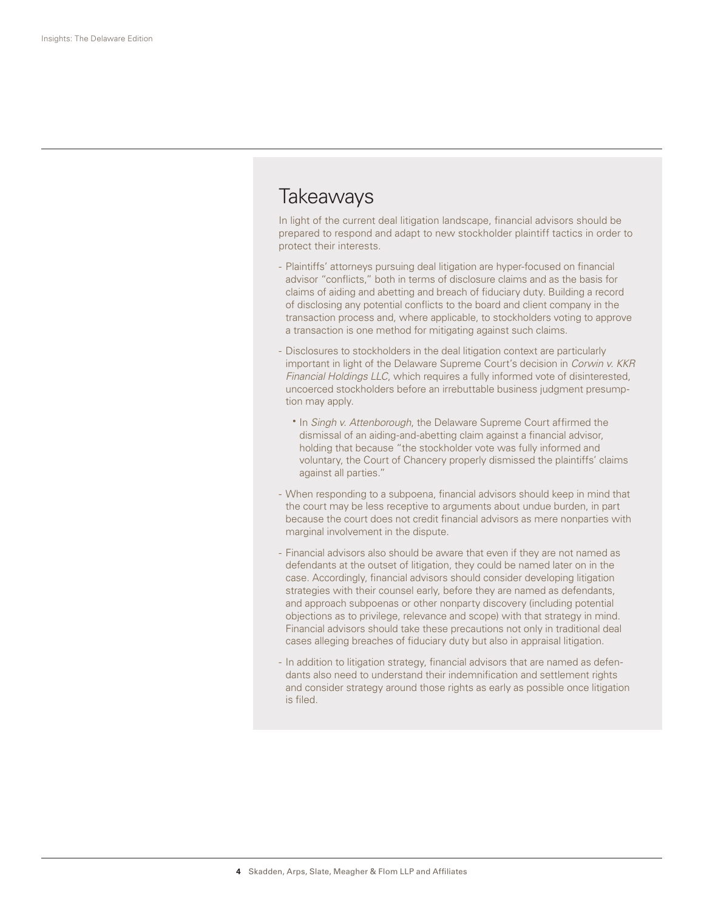## **Takeaways**

In light of the current deal litigation landscape, financial advisors should be prepared to respond and adapt to new stockholder plaintiff tactics in order to protect their interests.

- Plaintiffs' attorneys pursuing deal litigation are hyper-focused on financial advisor "conflicts," both in terms of disclosure claims and as the basis for claims of aiding and abetting and breach of fiduciary duty. Building a record of disclosing any potential conflicts to the board and client company in the transaction process and, where applicable, to stockholders voting to approve a transaction is one method for mitigating against such claims.
- Disclosures to stockholders in the deal litigation context are particularly important in light of the Delaware Supreme Court's decision in *Corwin v. KKR Financial Holdings LLC*, which requires a fully informed vote of disinterested, uncoerced stockholders before an irrebuttable business judgment presumption may apply.
	- In *Singh v. Attenborough*, the Delaware Supreme Court affirmed the dismissal of an aiding-and-abetting claim against a financial advisor, holding that because "the stockholder vote was fully informed and voluntary, the Court of Chancery properly dismissed the plaintiffs' claims against all parties."
- When responding to a subpoena, financial advisors should keep in mind that the court may be less receptive to arguments about undue burden, in part because the court does not credit financial advisors as mere nonparties with marginal involvement in the dispute.
- Financial advisors also should be aware that even if they are not named as defendants at the outset of litigation, they could be named later on in the case. Accordingly, financial advisors should consider developing litigation strategies with their counsel early, before they are named as defendants, and approach subpoenas or other nonparty discovery (including potential objections as to privilege, relevance and scope) with that strategy in mind. Financial advisors should take these precautions not only in traditional deal cases alleging breaches of fiduciary duty but also in appraisal litigation.
- In addition to litigation strategy, financial advisors that are named as defendants also need to understand their indemnification and settlement rights and consider strategy around those rights as early as possible once litigation is filed.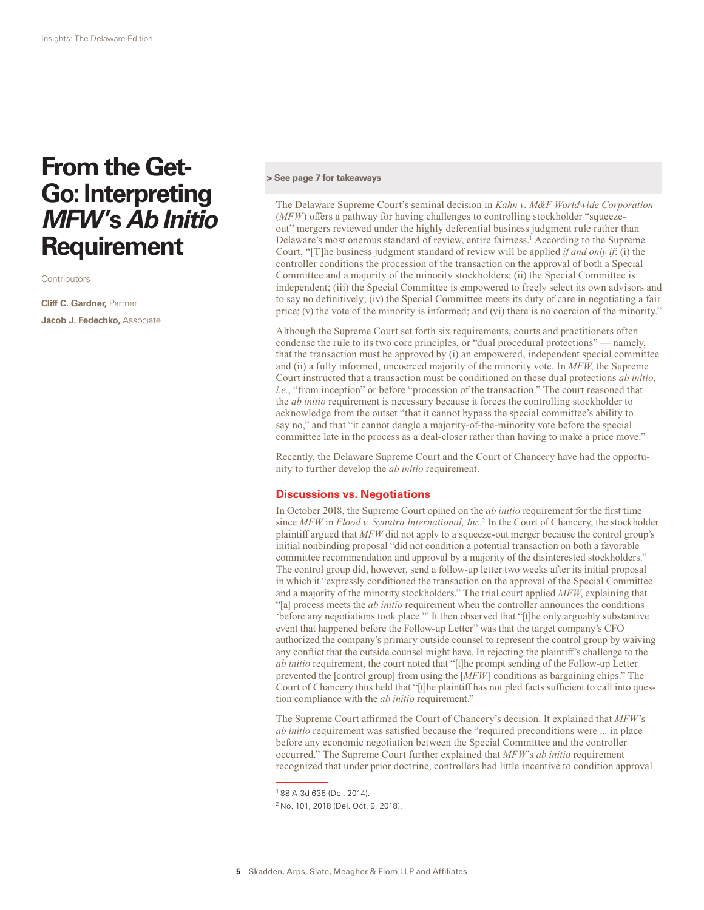# **From the Get-Go: Interpreting**  *MFW***'s** *Ab Initio* **Requirement**

**Contributors** 

**Cliff C. Gardner,** Partner **Jacob J. Fedechko,** Associate

#### **> See page 7 for takeaways**

The Delaware Supreme Court's seminal decision in *Kahn v. M&F Worldwide Corporation* (*MFW*) offers a pathway for having challenges to controlling stockholder "squeezeout" mergers reviewed under the highly deferential business judgment rule rather than Delaware's most onerous standard of review, entire fairness.<sup>1</sup> According to the Supreme Court, "[T]he business judgment standard of review will be applied *if and only if*: (i) the controller conditions the procession of the transaction on the approval of both a Special Committee and a majority of the minority stockholders; (ii) the Special Committee is independent; (iii) the Special Committee is empowered to freely select its own advisors and to say no definitively; (iv) the Special Committee meets its duty of care in negotiating a fair price; (v) the vote of the minority is informed; and (vi) there is no coercion of the minority."

Although the Supreme Court set forth six requirements, courts and practitioners often condense the rule to its two core principles, or "dual procedural protections" — namely, that the transaction must be approved by (i) an empowered, independent special committee and (ii) a fully informed, uncoerced majority of the minority vote. In *MFW*, the Supreme Court instructed that a transaction must be conditioned on these dual protections *ab initio*, *i.e.*, "from inception" or before "procession of the transaction." The court reasoned that the *ab initio* requirement is necessary because it forces the controlling stockholder to acknowledge from the outset "that it cannot bypass the special committee's ability to say no," and that "it cannot dangle a majority-of-the-minority vote before the special committee late in the process as a deal-closer rather than having to make a price move."

Recently, the Delaware Supreme Court and the Court of Chancery have had the opportunity to further develop the *ab initio* requirement.

#### **Discussions vs. Negotiations**

In October 2018, the Supreme Court opined on the *ab initio* requirement for the first time since *MFW* in *Flood v. Synutra International, Inc*. 2 In the Court of Chancery, the stockholder plaintiff argued that *MFW* did not apply to a squeeze-out merger because the control group's initial nonbinding proposal "did not condition a potential transaction on both a favorable committee recommendation and approval by a majority of the disinterested stockholders." The control group did, however, send a follow-up letter two weeks after its initial proposal in which it "expressly conditioned the transaction on the approval of the Special Committee and a majority of the minority stockholders." The trial court applied *MFW*, explaining that "[a] process meets the *ab initio* requirement when the controller announces the conditions 'before any negotiations took place.'" It then observed that "[t]he only arguably substantive event that happened before the Follow-up Letter" was that the target company's CFO authorized the company's primary outside counsel to represent the control group by waiving any conflict that the outside counsel might have. In rejecting the plaintiff's challenge to the *ab initio* requirement, the court noted that "[t]he prompt sending of the Follow-up Letter prevented the [control group] from using the [*MFW*] conditions as bargaining chips." The Court of Chancery thus held that "[t]he plaintiff has not pled facts sufficient to call into question compliance with the *ab initio* requirement."

The Supreme Court affirmed the Court of Chancery's decision. It explained that *MFW*'s *ab initio* requirement was satisfied because the "required preconditions were ... in place before any economic negotiation between the Special Committee and the controller occurred." The Supreme Court further explained that *MFW*'s *ab initio* requirement recognized that under prior doctrine, controllers had little incentive to condition approval

<sup>1</sup> 88 A.3d 635 (Del. 2014).

<sup>2</sup> No. 101, 2018 (Del. Oct. 9, 2018).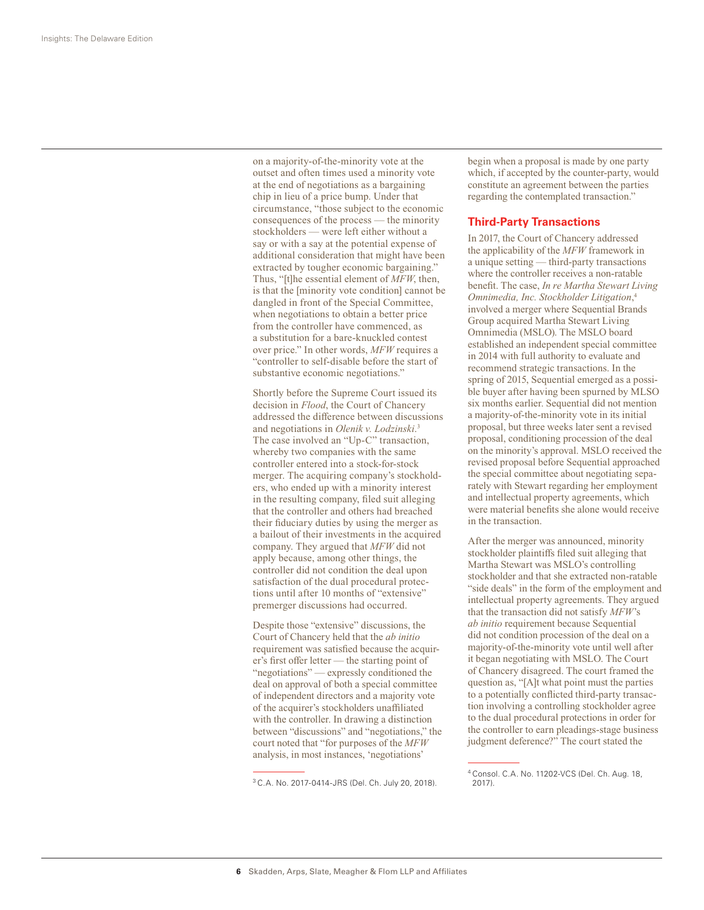on a majority-of-the-minority vote at the outset and often times used a minority vote at the end of negotiations as a bargaining chip in lieu of a price bump. Under that circumstance, "those subject to the economic consequences of the process — the minority stockholders — were left either without a say or with a say at the potential expense of additional consideration that might have been extracted by tougher economic bargaining." Thus, "[t]he essential element of *MFW*, then, is that the [minority vote condition] cannot be dangled in front of the Special Committee, when negotiations to obtain a better price from the controller have commenced, as a substitution for a bare-knuckled contest over price." In other words, *MFW* requires a "controller to self-disable before the start of substantive economic negotiations."

Shortly before the Supreme Court issued its decision in *Flood*, the Court of Chancery addressed the difference between discussions and negotiations in *Olenik v. Lodzinski*. 3 The case involved an "Up-C" transaction, whereby two companies with the same controller entered into a stock-for-stock merger. The acquiring company's stockholders, who ended up with a minority interest in the resulting company, filed suit alleging that the controller and others had breached their fiduciary duties by using the merger as a bailout of their investments in the acquired company. They argued that *MFW* did not apply because, among other things, the controller did not condition the deal upon satisfaction of the dual procedural protections until after 10 months of "extensive" premerger discussions had occurred.

Despite those "extensive" discussions, the Court of Chancery held that the *ab initio* requirement was satisfied because the acquirer's first offer letter — the starting point of "negotiations" — expressly conditioned the deal on approval of both a special committee of independent directors and a majority vote of the acquirer's stockholders unaffiliated with the controller. In drawing a distinction between "discussions" and "negotiations," the court noted that "for purposes of the *MFW* analysis, in most instances, 'negotiations'

begin when a proposal is made by one party which, if accepted by the counter-party, would constitute an agreement between the parties regarding the contemplated transaction."

#### **Third-Party Transactions**

In 2017, the Court of Chancery addressed the applicability of the *MFW* framework in a unique setting — third-party transactions where the controller receives a non-ratable benefit. The case, *In re Martha Stewart Living Omnimedia, Inc. Stockholder Litigation*, 4 involved a merger where Sequential Brands Group acquired Martha Stewart Living Omnimedia (MSLO). The MSLO board established an independent special committee in 2014 with full authority to evaluate and recommend strategic transactions. In the spring of 2015, Sequential emerged as a possible buyer after having been spurned by MLSO six months earlier. Sequential did not mention a majority-of-the-minority vote in its initial proposal, but three weeks later sent a revised proposal, conditioning procession of the deal on the minority's approval. MSLO received the revised proposal before Sequential approached the special committee about negotiating separately with Stewart regarding her employment and intellectual property agreements, which were material benefits she alone would receive in the transaction.

After the merger was announced, minority stockholder plaintiffs filed suit alleging that Martha Stewart was MSLO's controlling stockholder and that she extracted non-ratable "side deals" in the form of the employment and intellectual property agreements. They argued that the transaction did not satisfy *MFW*'s *ab initio* requirement because Sequential did not condition procession of the deal on a majority-of-the-minority vote until well after it began negotiating with MSLO. The Court of Chancery disagreed. The court framed the question as, "[A]t what point must the parties to a potentially conflicted third-party transaction involving a controlling stockholder agree to the dual procedural protections in order for the controller to earn pleadings-stage business judgment deference?" The court stated the

<sup>3</sup> C.A. No. 2017-0414-JRS (Del. Ch. July 20, 2018).

<sup>4</sup> Consol. C.A. No. 11202-VCS (Del. Ch. Aug. 18, 2017).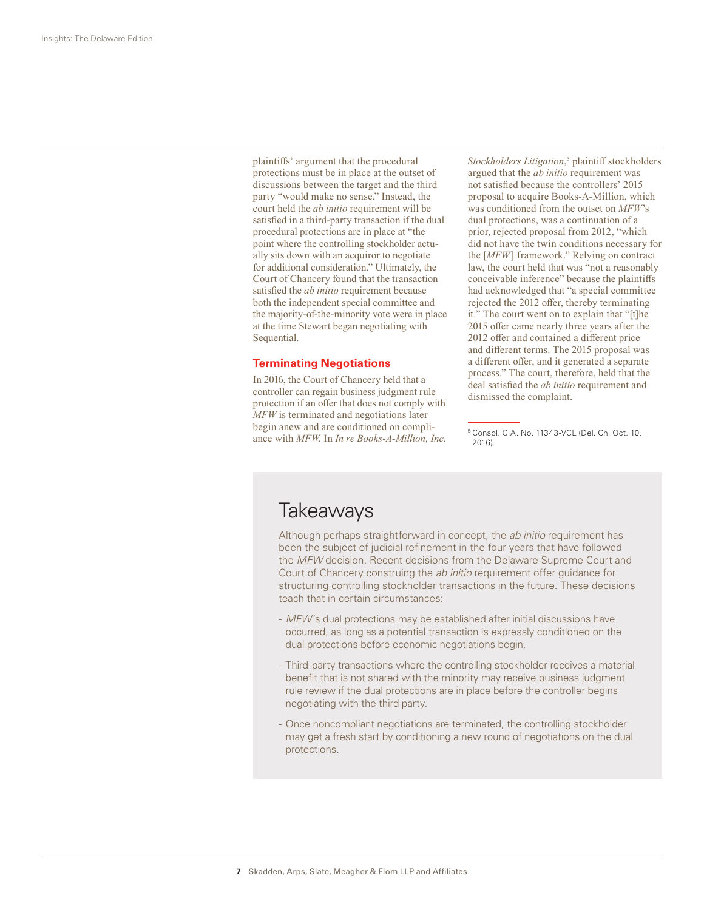plaintiffs' argument that the procedural protections must be in place at the outset of discussions between the target and the third party "would make no sense." Instead, the court held the *ab initio* requirement will be satisfied in a third-party transaction if the dual procedural protections are in place at "the point where the controlling stockholder actually sits down with an acquiror to negotiate for additional consideration." Ultimately, the Court of Chancery found that the transaction satisfied the *ab initio* requirement because both the independent special committee and the majority-of-the-minority vote were in place at the time Stewart began negotiating with Sequential.

#### **Terminating Negotiations**

In 2016, the Court of Chancery held that a controller can regain business judgment rule protection if an offer that does not comply with *MFW* is terminated and negotiations later begin anew and are conditioned on compliance with *MFW*. In *In re Books-A-Million, Inc.* 

Stockholders Litigation,<sup>5</sup> plaintiff stockholders argued that the *ab initio* requirement was not satisfied because the controllers' 2015 proposal to acquire Books-A-Million, which was conditioned from the outset on *MFW*'s dual protections, was a continuation of a prior, rejected proposal from 2012, "which did not have the twin conditions necessary for the [*MFW*] framework." Relying on contract law, the court held that was "not a reasonably conceivable inference" because the plaintiffs had acknowledged that "a special committee rejected the 2012 offer, thereby terminating it." The court went on to explain that "[t]he 2015 offer came nearly three years after the 2012 offer and contained a different price and different terms. The 2015 proposal was a different offer, and it generated a separate process." The court, therefore, held that the deal satisfied the *ab initio* requirement and dismissed the complaint.

<sup>5</sup> Consol. C.A. No. 11343-VCL (Del. Ch. Oct. 10, 2016).

## **Takeaways**

Although perhaps straightforward in concept, the *ab initio* requirement has been the subject of judicial refinement in the four years that have followed the *MFW* decision. Recent decisions from the Delaware Supreme Court and Court of Chancery construing the *ab initio* requirement offer guidance for structuring controlling stockholder transactions in the future. These decisions teach that in certain circumstances:

- *MFW*'s dual protections may be established after initial discussions have occurred, as long as a potential transaction is expressly conditioned on the dual protections before economic negotiations begin.
- Third-party transactions where the controlling stockholder receives a material benefit that is not shared with the minority may receive business judgment rule review if the dual protections are in place before the controller begins negotiating with the third party.
- Once noncompliant negotiations are terminated, the controlling stockholder may get a fresh start by conditioning a new round of negotiations on the dual protections.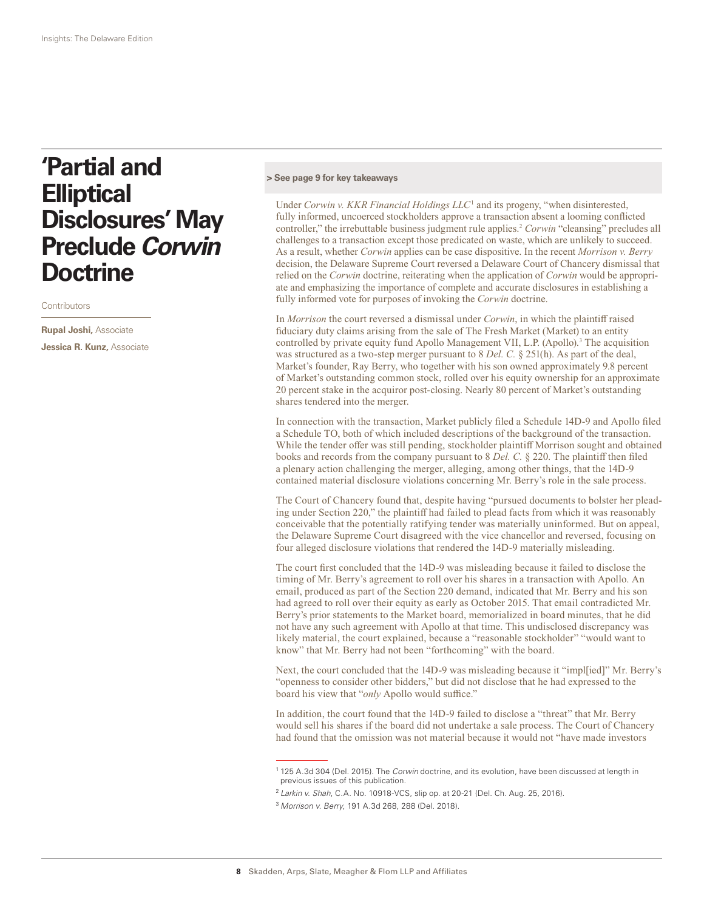# **'Partial and Elliptical Disclosures' May Preclude** *Corwin* **Doctrine**

**Contributors** 

**Rupal Joshi,** Associate **Jessica R. Kunz,** Associate

#### **> See page 9 for key takeaways**

Under *Corwin v. KKR Financial Holdings LLC*<sup>1</sup> and its progeny, "when disinterested, fully informed, uncoerced stockholders approve a transaction absent a looming conflicted controller," the irrebuttable business judgment rule applies.<sup>2</sup> *Corwin* "cleansing" precludes all challenges to a transaction except those predicated on waste, which are unlikely to succeed. As a result, whether *Corwin* applies can be case dispositive. In the recent *Morrison v. Berry* decision, the Delaware Supreme Court reversed a Delaware Court of Chancery dismissal that relied on the *Corwin* doctrine, reiterating when the application of *Corwin* would be appropriate and emphasizing the importance of complete and accurate disclosures in establishing a fully informed vote for purposes of invoking the *Corwin* doctrine.

In *Morrison* the court reversed a dismissal under *Corwin*, in which the plaintiff raised fiduciary duty claims arising from the sale of The Fresh Market (Market) to an entity controlled by private equity fund Apollo Management VII, L.P. (Apollo).<sup>3</sup> The acquisition was structured as a two-step merger pursuant to 8 *Del. C.* § 251(h). As part of the deal, Market's founder, Ray Berry, who together with his son owned approximately 9.8 percent of Market's outstanding common stock, rolled over his equity ownership for an approximate 20 percent stake in the acquiror post-closing. Nearly 80 percent of Market's outstanding shares tendered into the merger.

In connection with the transaction, Market publicly filed a Schedule 14D-9 and Apollo filed a Schedule TO, both of which included descriptions of the background of the transaction. While the tender offer was still pending, stockholder plaintiff Morrison sought and obtained books and records from the company pursuant to 8 *Del. C.* § 220. The plaintiff then filed a plenary action challenging the merger, alleging, among other things, that the 14D-9 contained material disclosure violations concerning Mr. Berry's role in the sale process.

The Court of Chancery found that, despite having "pursued documents to bolster her pleading under Section 220," the plaintiff had failed to plead facts from which it was reasonably conceivable that the potentially ratifying tender was materially uninformed. But on appeal, the Delaware Supreme Court disagreed with the vice chancellor and reversed, focusing on four alleged disclosure violations that rendered the 14D-9 materially misleading.

The court first concluded that the 14D-9 was misleading because it failed to disclose the timing of Mr. Berry's agreement to roll over his shares in a transaction with Apollo. An email, produced as part of the Section 220 demand, indicated that Mr. Berry and his son had agreed to roll over their equity as early as October 2015. That email contradicted Mr. Berry's prior statements to the Market board, memorialized in board minutes, that he did not have any such agreement with Apollo at that time. This undisclosed discrepancy was likely material, the court explained, because a "reasonable stockholder" "would want to know" that Mr. Berry had not been "forthcoming" with the board.

Next, the court concluded that the 14D-9 was misleading because it "impl[ied]" Mr. Berry's "openness to consider other bidders," but did not disclose that he had expressed to the board his view that "*only* Apollo would suffice."

In addition, the court found that the 14D-9 failed to disclose a "threat" that Mr. Berry would sell his shares if the board did not undertake a sale process. The Court of Chancery had found that the omission was not material because it would not "have made investors

<sup>1</sup> 125 A.3d 304 (Del. 2015). The *Corwin* doctrine, and its evolution, have been discussed at length in previous issues of this publication.

<sup>2</sup> *Larkin v. Shah*, C.A. No. 10918-VCS, slip op. at 20-21 (Del. Ch. Aug. 25, 2016).

<sup>3</sup> *Morrison v. Berry*, 191 A.3d 268, 288 (Del. 2018).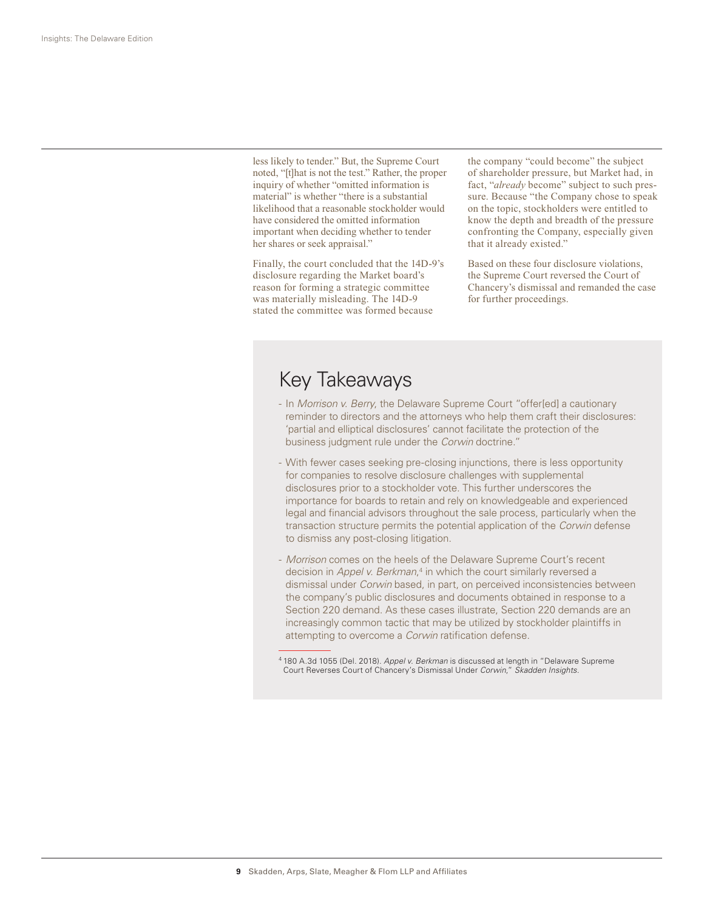less likely to tender." But, the Supreme Court noted, "[t]hat is not the test." Rather, the proper inquiry of whether "omitted information is material" is whether "there is a substantial likelihood that a reasonable stockholder would have considered the omitted information important when deciding whether to tender her shares or seek appraisal."

Finally, the court concluded that the 14D-9's disclosure regarding the Market board's reason for forming a strategic committee was materially misleading. The 14D-9 stated the committee was formed because

the company "could become" the subject of shareholder pressure, but Market had, in fact, "*already* become" subject to such pressure. Because "the Company chose to speak on the topic, stockholders were entitled to know the depth and breadth of the pressure confronting the Company, especially given that it already existed."

Based on these four disclosure violations, the Supreme Court reversed the Court of Chancery's dismissal and remanded the case for further proceedings.

## Key Takeaways

- In *Morrison v. Berry*, the Delaware Supreme Court "offer[ed] a cautionary reminder to directors and the attorneys who help them craft their disclosures: 'partial and elliptical disclosures' cannot facilitate the protection of the business judgment rule under the *Corwin* doctrine."
- With fewer cases seeking pre-closing injunctions, there is less opportunity for companies to resolve disclosure challenges with supplemental disclosures prior to a stockholder vote. This further underscores the importance for boards to retain and rely on knowledgeable and experienced legal and financial advisors throughout the sale process, particularly when the transaction structure permits the potential application of the *Corwin* defense to dismiss any post-closing litigation.
- *Morrison* comes on the heels of the Delaware Supreme Court's recent decision in *Appel v. Berkman*,<sup>4</sup> in which the court similarly reversed a dismissal under *Corwin* based, in part, on perceived inconsistencies between the company's public disclosures and documents obtained in response to a Section 220 demand. As these cases illustrate, Section 220 demands are an increasingly common tactic that may be utilized by stockholder plaintiffs in attempting to overcome a *Corwin* ratification defense.

<sup>4</sup> 180 A.3d 1055 (Del. 2018). *Appel v. Berkman* is discussed at length in "Delaware Supreme Court Reverses Court of Chancery's Dismissal Under *Corwin*," *Skadden Insights*.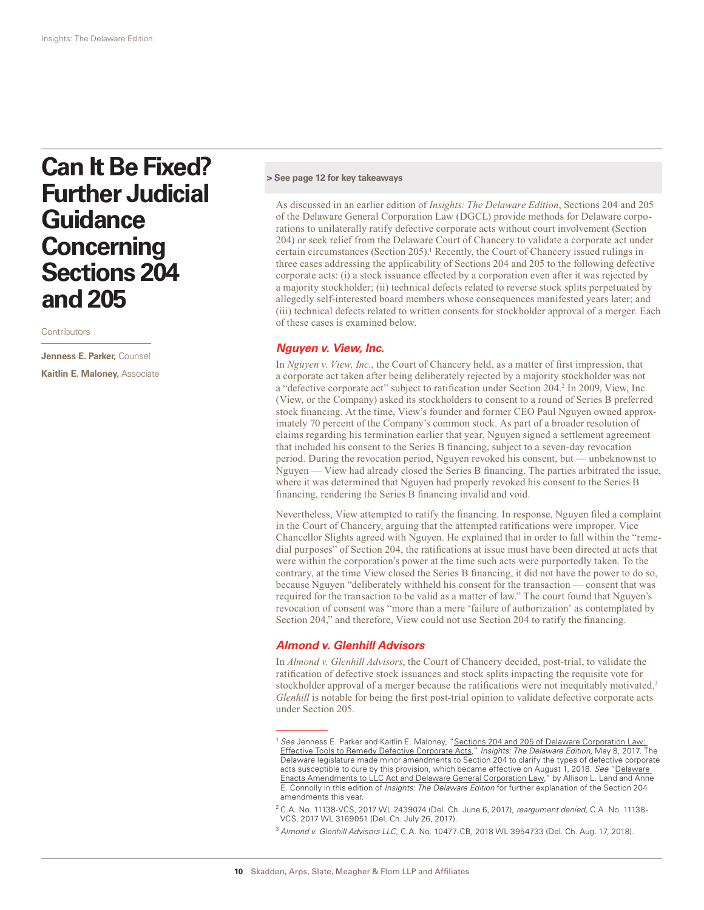# **Can It Be Fixed? Further Judicial Guidance Concerning Sections 204 and 205**

**Contributors** 

**Jenness E. Parker,** Counsel **Kaitlin E. Maloney,** Associate

#### **> See page 12 for key takeaways**

As discussed in an earlier edition of *Insights: The Delaware Edition*, Sections 204 and 205 of the Delaware General Corporation Law (DGCL) provide methods for Delaware corporations to unilaterally ratify defective corporate acts without court involvement (Section 204) or seek relief from the Delaware Court of Chancery to validate a corporate act under certain circumstances (Section 205).<sup>1</sup> Recently, the Court of Chancery issued rulings in three cases addressing the applicability of Sections 204 and 205 to the following defective corporate acts: (i) a stock issuance effected by a corporation even after it was rejected by a majority stockholder; (ii) technical defects related to reverse stock splits perpetuated by allegedly self-interested board members whose consequences manifested years later; and (iii) technical defects related to written consents for stockholder approval of a merger. Each of these cases is examined below.

#### *Nguyen v. View, Inc.*

In *Nguyen v. View, Inc.*, the Court of Chancery held, as a matter of first impression, that a corporate act taken after being deliberately rejected by a majority stockholder was not a "defective corporate act" subject to ratification under Section 204.<sup>2</sup> In 2009, View, Inc. (View, or the Company) asked its stockholders to consent to a round of Series B preferred stock financing. At the time, View's founder and former CEO Paul Nguyen owned approximately 70 percent of the Company's common stock. As part of a broader resolution of claims regarding his termination earlier that year, Nguyen signed a settlement agreement that included his consent to the Series B financing, subject to a seven-day revocation period. During the revocation period, Nguyen revoked his consent, but — unbeknownst to Nguyen — View had already closed the Series B financing. The parties arbitrated the issue, where it was determined that Nguyen had properly revoked his consent to the Series B financing, rendering the Series B financing invalid and void.

Nevertheless, View attempted to ratify the financing. In response, Nguyen filed a complaint in the Court of Chancery, arguing that the attempted ratifications were improper. Vice Chancellor Slights agreed with Nguyen. He explained that in order to fall within the "remedial purposes" of Section 204, the ratifications at issue must have been directed at acts that were within the corporation's power at the time such acts were purportedly taken. To the contrary, at the time View closed the Series B financing, it did not have the power to do so, because Nguyen "deliberately withheld his consent for the transaction — consent that was required for the transaction to be valid as a matter of law." The court found that Nguyen's revocation of consent was "more than a mere 'failure of authorization' as contemplated by Section 204," and therefore, View could not use Section 204 to ratify the financing.

#### *Almond v. Glenhill Advisors*

In *Almond v. Glenhill Advisors*, the Court of Chancery decided, post-trial, to validate the ratification of defective stock issuances and stock splits impacting the requisite vote for stockholder approval of a merger because the ratifications were not inequitably motivated.<sup>3</sup> *Glenhill* is notable for being the first post-trial opinion to validate defective corporate acts under Section 205.

<sup>1</sup> *See* Jenness E. Parker and Kaitlin E. Maloney, "Sections 204 and 205 of Delaware Corporation Law: Effective Tools to Remedy Defective Corporate Acts," *Insights: The Delaware Edition*, May 8, 2017. The Delaware legislature made minor amendments to Section 204 to clarify the types of defective corporate acts susceptible to cure by this provision, which became effective on August 1, 2018. *See* "Delaware Enacts Amendments to LLC Act and Delaware General Corporation Law," by Allison L. Land and Anne E. Connolly in this edition of *Insights: The Delaware Edition* for further explanation of the Section 204 amendments this year.

<sup>2</sup> C.A. No. 11138-VCS, 2017 WL 2439074 (Del. Ch. June 6, 2017), *reargument denied*, C.A. No. 11138- VCS, 2017 WL 3169051 (Del. Ch. July 26, 2017).

<sup>3</sup> *Almond v. Glenhill Advisors LLC*, C.A. No. 10477-CB, 2018 WL 3954733 (Del. Ch. Aug. 17, 2018).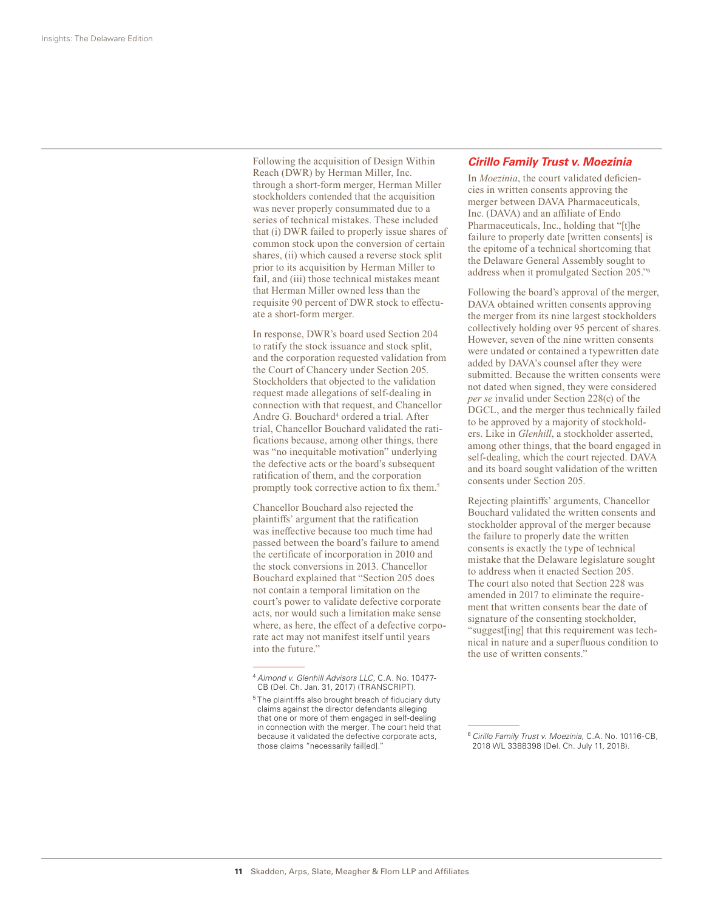Following the acquisition of Design Within Reach (DWR) by Herman Miller, Inc. through a short-form merger, Herman Miller stockholders contended that the acquisition was never properly consummated due to a series of technical mistakes. These included that (i) DWR failed to properly issue shares of common stock upon the conversion of certain shares, (ii) which caused a reverse stock split prior to its acquisition by Herman Miller to fail, and (iii) those technical mistakes meant that Herman Miller owned less than the requisite 90 percent of DWR stock to effectuate a short-form merger.

In response, DWR's board used Section 204 to ratify the stock issuance and stock split, and the corporation requested validation from the Court of Chancery under Section 205. Stockholders that objected to the validation request made allegations of self-dealing in connection with that request, and Chancellor Andre G. Bouchard<sup>4</sup> ordered a trial. After trial, Chancellor Bouchard validated the ratifications because, among other things, there was "no inequitable motivation" underlying the defective acts or the board's subsequent ratification of them, and the corporation promptly took corrective action to fix them.<sup>5</sup>

Chancellor Bouchard also rejected the plaintiffs' argument that the ratification was ineffective because too much time had passed between the board's failure to amend the certificate of incorporation in 2010 and the stock conversions in 2013. Chancellor Bouchard explained that "Section 205 does not contain a temporal limitation on the court's power to validate defective corporate acts, nor would such a limitation make sense where, as here, the effect of a defective corporate act may not manifest itself until years into the future."

#### *Cirillo Family Trust v. Moezinia*

In *Moezinia*, the court validated deficiencies in written consents approving the merger between DAVA Pharmaceuticals, Inc. (DAVA) and an affiliate of Endo Pharmaceuticals, Inc., holding that "[t]he failure to properly date [written consents] is the epitome of a technical shortcoming that the Delaware General Assembly sought to address when it promulgated Section 205."6

Following the board's approval of the merger, DAVA obtained written consents approving the merger from its nine largest stockholders collectively holding over 95 percent of shares. However, seven of the nine written consents were undated or contained a typewritten date added by DAVA's counsel after they were submitted. Because the written consents were not dated when signed, they were considered *per se* invalid under Section 228(c) of the DGCL, and the merger thus technically failed to be approved by a majority of stockholders. Like in *Glenhill*, a stockholder asserted, among other things, that the board engaged in self-dealing, which the court rejected. DAVA and its board sought validation of the written consents under Section 205.

Rejecting plaintiffs' arguments, Chancellor Bouchard validated the written consents and stockholder approval of the merger because the failure to properly date the written consents is exactly the type of technical mistake that the Delaware legislature sought to address when it enacted Section 205. The court also noted that Section 228 was amended in 2017 to eliminate the requirement that written consents bear the date of signature of the consenting stockholder, "suggest[ing] that this requirement was technical in nature and a superfluous condition to the use of written consents."

<sup>4</sup> *Almond v. Glenhill Advisors LLC*, C.A. No. 10477- CB (Del. Ch. Jan. 31, 2017) (TRANSCRIPT).

<sup>&</sup>lt;sup>5</sup> The plaintiffs also brought breach of fiduciary duty claims against the director defendants alleging that one or more of them engaged in self-dealing in connection with the merger. The court held that because it validated the defective corporate acts, those claims "necessarily fail[ed]."

<sup>6</sup> *Cirillo Family Trust v. Moezinia*, C.A. No. 10116-CB, 2018 WL 3388398 (Del. Ch. July 11, 2018).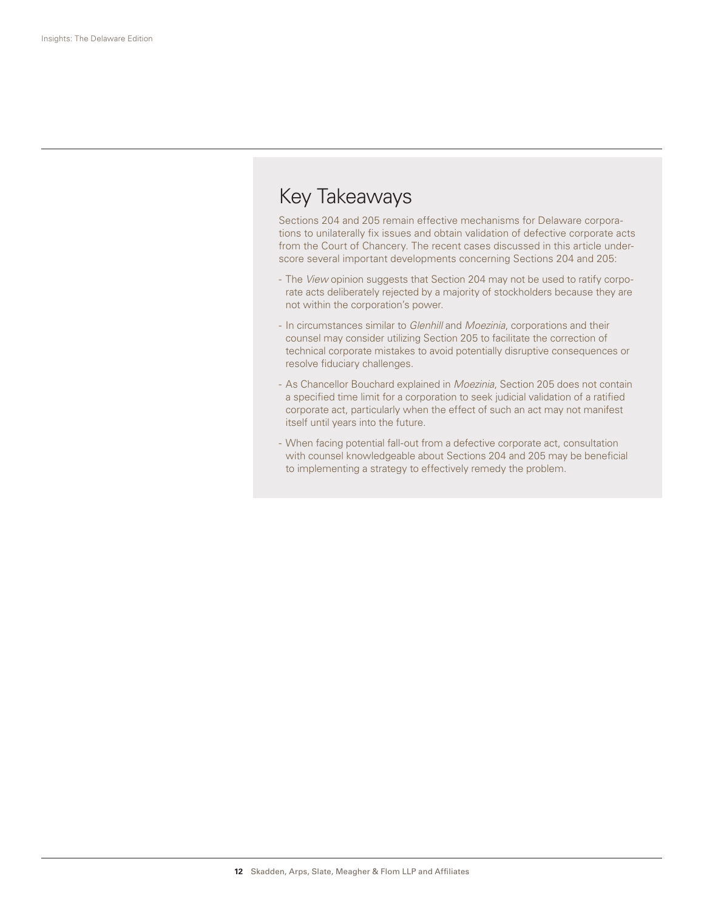## Key Takeaways

Sections 204 and 205 remain effective mechanisms for Delaware corporations to unilaterally fix issues and obtain validation of defective corporate acts from the Court of Chancery. The recent cases discussed in this article underscore several important developments concerning Sections 204 and 205:

- The *View* opinion suggests that Section 204 may not be used to ratify corporate acts deliberately rejected by a majority of stockholders because they are not within the corporation's power.
- In circumstances similar to *Glenhill* and *Moezinia*, corporations and their counsel may consider utilizing Section 205 to facilitate the correction of technical corporate mistakes to avoid potentially disruptive consequences or resolve fiduciary challenges.
- As Chancellor Bouchard explained in *Moezinia*, Section 205 does not contain a specified time limit for a corporation to seek judicial validation of a ratified corporate act, particularly when the effect of such an act may not manifest itself until years into the future.
- When facing potential fall-out from a defective corporate act, consultation with counsel knowledgeable about Sections 204 and 205 may be beneficial to implementing a strategy to effectively remedy the problem.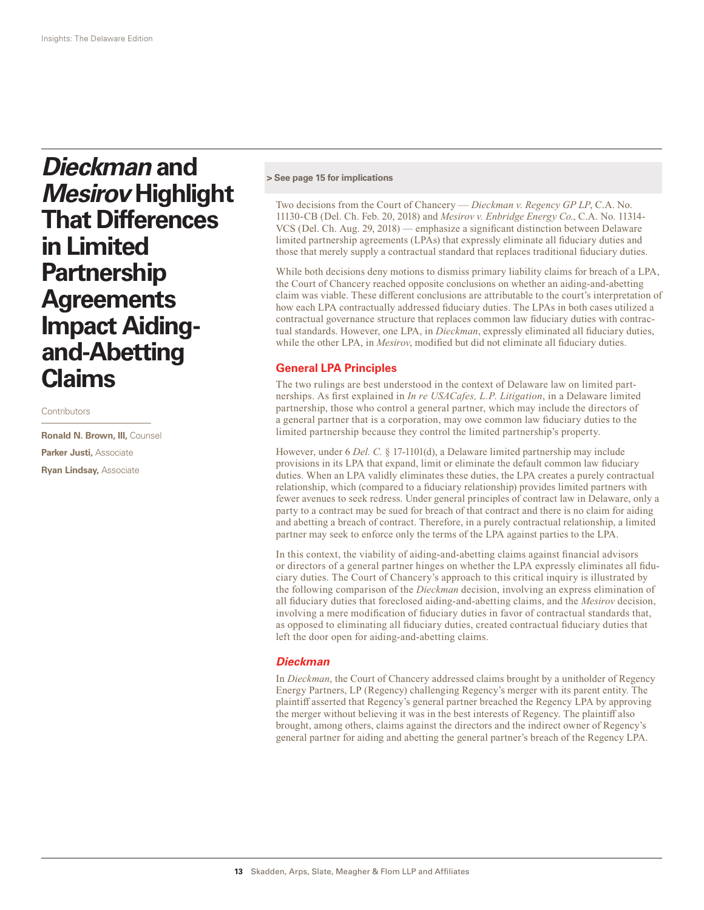*Dieckman* **and**  *Mesirov* **Highlight That Differences in Limited Partnership Agreements Impact Aidingand-Abetting Claims**

**Contributors** 

**Ronald N. Brown, III,** Counsel **Parker Justi,** Associate **Ryan Lindsay,** Associate

#### **> See page 15 for implications**

Two decisions from the Court of Chancery — *Dieckman v. Regency GP LP*, C.A. No. 11130-CB (Del. Ch. Feb. 20, 2018) and *Mesirov v. Enbridge Energy Co*., C.A. No. 11314- VCS (Del. Ch. Aug. 29, 2018) — emphasize a significant distinction between Delaware limited partnership agreements (LPAs) that expressly eliminate all fiduciary duties and those that merely supply a contractual standard that replaces traditional fiduciary duties.

While both decisions deny motions to dismiss primary liability claims for breach of a LPA, the Court of Chancery reached opposite conclusions on whether an aiding-and-abetting claim was viable. These different conclusions are attributable to the court's interpretation of how each LPA contractually addressed fiduciary duties. The LPAs in both cases utilized a contractual governance structure that replaces common law fiduciary duties with contractual standards. However, one LPA, in *Dieckman*, expressly eliminated all fiduciary duties, while the other LPA, in *Mesirov*, modified but did not eliminate all fiduciary duties.

#### **General LPA Principles**

The two rulings are best understood in the context of Delaware law on limited partnerships. As first explained in *In re USACafes, L.P. Litigation*, in a Delaware limited partnership, those who control a general partner, which may include the directors of a general partner that is a corporation, may owe common law fiduciary duties to the limited partnership because they control the limited partnership's property.

However, under 6 *Del. C.* § 17-1101(d), a Delaware limited partnership may include provisions in its LPA that expand, limit or eliminate the default common law fiduciary duties. When an LPA validly eliminates these duties, the LPA creates a purely contractual relationship, which (compared to a fiduciary relationship) provides limited partners with fewer avenues to seek redress. Under general principles of contract law in Delaware, only a party to a contract may be sued for breach of that contract and there is no claim for aiding and abetting a breach of contract. Therefore, in a purely contractual relationship, a limited partner may seek to enforce only the terms of the LPA against parties to the LPA.

In this context, the viability of aiding-and-abetting claims against financial advisors or directors of a general partner hinges on whether the LPA expressly eliminates all fiduciary duties. The Court of Chancery's approach to this critical inquiry is illustrated by the following comparison of the *Dieckman* decision, involving an express elimination of all fiduciary duties that foreclosed aiding-and-abetting claims, and the *Mesirov* decision, involving a mere modification of fiduciary duties in favor of contractual standards that, as opposed to eliminating all fiduciary duties, created contractual fiduciary duties that left the door open for aiding-and-abetting claims.

#### *Dieckman*

In *Dieckman*, the Court of Chancery addressed claims brought by a unitholder of Regency Energy Partners, LP (Regency) challenging Regency's merger with its parent entity. The plaintiff asserted that Regency's general partner breached the Regency LPA by approving the merger without believing it was in the best interests of Regency. The plaintiff also brought, among others, claims against the directors and the indirect owner of Regency's general partner for aiding and abetting the general partner's breach of the Regency LPA.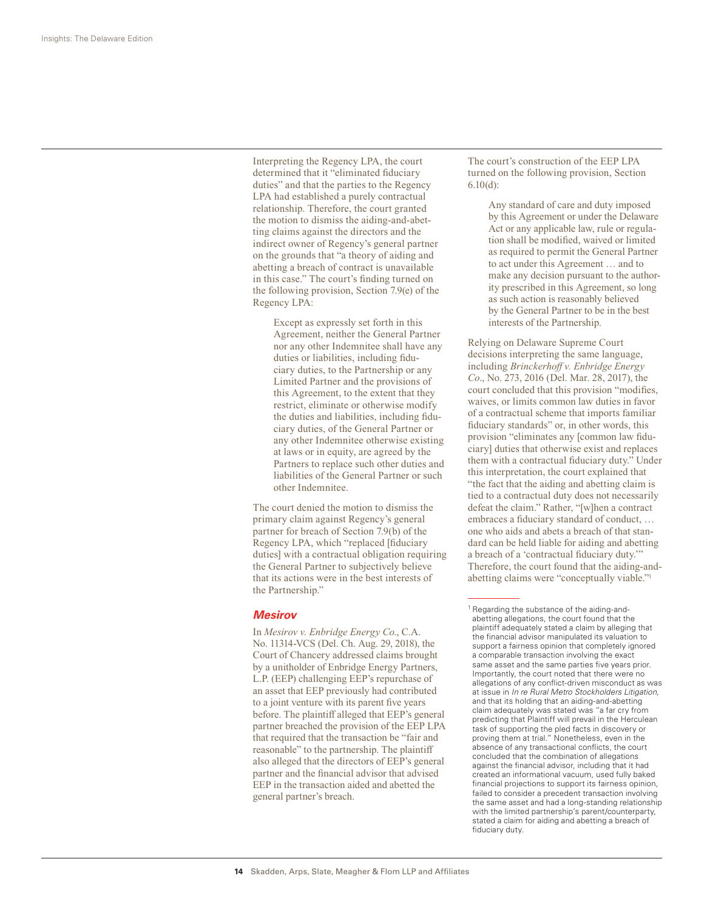Interpreting the Regency LPA, the court determined that it "eliminated fiduciary duties" and that the parties to the Regency LPA had established a purely contractual relationship. Therefore, the court granted the motion to dismiss the aiding-and-abetting claims against the directors and the indirect owner of Regency's general partner on the grounds that "a theory of aiding and abetting a breach of contract is unavailable in this case." The court's finding turned on the following provision, Section 7.9(e) of the Regency LPA:

> Except as expressly set forth in this Agreement, neither the General Partner nor any other Indemnitee shall have any duties or liabilities, including fiduciary duties, to the Partnership or any Limited Partner and the provisions of this Agreement, to the extent that they restrict, eliminate or otherwise modify the duties and liabilities, including fiduciary duties, of the General Partner or any other Indemnitee otherwise existing at laws or in equity, are agreed by the Partners to replace such other duties and liabilities of the General Partner or such other Indemnitee.

The court denied the motion to dismiss the primary claim against Regency's general partner for breach of Section 7.9(b) of the Regency LPA, which "replaced [fiduciary duties] with a contractual obligation requiring the General Partner to subjectively believe that its actions were in the best interests of the Partnership."

#### *Mesirov*

In *Mesirov v. Enbridge Energy Co*., C.A. No. 11314-VCS (Del. Ch. Aug. 29, 2018), the Court of Chancery addressed claims brought by a unitholder of Enbridge Energy Partners, L.P. (EEP) challenging EEP's repurchase of an asset that EEP previously had contributed to a joint venture with its parent five years before. The plaintiff alleged that EEP's general partner breached the provision of the EEP LPA that required that the transaction be "fair and reasonable" to the partnership. The plaintiff also alleged that the directors of EEP's general partner and the financial advisor that advised EEP in the transaction aided and abetted the general partner's breach.

The court's construction of the EEP LPA turned on the following provision, Section 6.10(d):

> Any standard of care and duty imposed by this Agreement or under the Delaware Act or any applicable law, rule or regulation shall be modified, waived or limited as required to permit the General Partner to act under this Agreement … and to make any decision pursuant to the authority prescribed in this Agreement, so long as such action is reasonably believed by the General Partner to be in the best interests of the Partnership.

Relying on Delaware Supreme Court decisions interpreting the same language, including *Brinckerhoff v. Enbridge Energy Co*., No. 273, 2016 (Del. Mar. 28, 2017), the court concluded that this provision "modifies, waives, or limits common law duties in favor of a contractual scheme that imports familiar fiduciary standards" or, in other words, this provision "eliminates any [common law fiduciary] duties that otherwise exist and replaces them with a contractual fiduciary duty." Under this interpretation, the court explained that "the fact that the aiding and abetting claim is tied to a contractual duty does not necessarily defeat the claim." Rather, "[w]hen a contract embraces a fiduciary standard of conduct, … one who aids and abets a breach of that standard can be held liable for aiding and abetting a breach of a 'contractual fiduciary duty.'" Therefore, the court found that the aiding-andabetting claims were "conceptually viable."1

<sup>&</sup>lt;sup>1</sup> Regarding the substance of the aiding-andabetting allegations, the court found that the plaintiff adequately stated a claim by alleging that the financial advisor manipulated its valuation to support a fairness opinion that completely ignored a comparable transaction involving the exact same asset and the same parties five years prior. Importantly, the court noted that there were no allegations of any conflict-driven misconduct as was at issue in *In re Rural Metro Stockholders Litigation*, and that its holding that an aiding-and-abetting claim adequately was stated was "a far cry from predicting that Plaintiff will prevail in the Herculean task of supporting the pled facts in discovery or proving them at trial." Nonetheless, even in the absence of any transactional conflicts, the court concluded that the combination of allegations against the financial advisor, including that it had created an informational vacuum, used fully baked financial projections to support its fairness opinion, failed to consider a precedent transaction involving the same asset and had a long-standing relationship with the limited partnership's parent/counterparty, stated a claim for aiding and abetting a breach of fiduciary duty.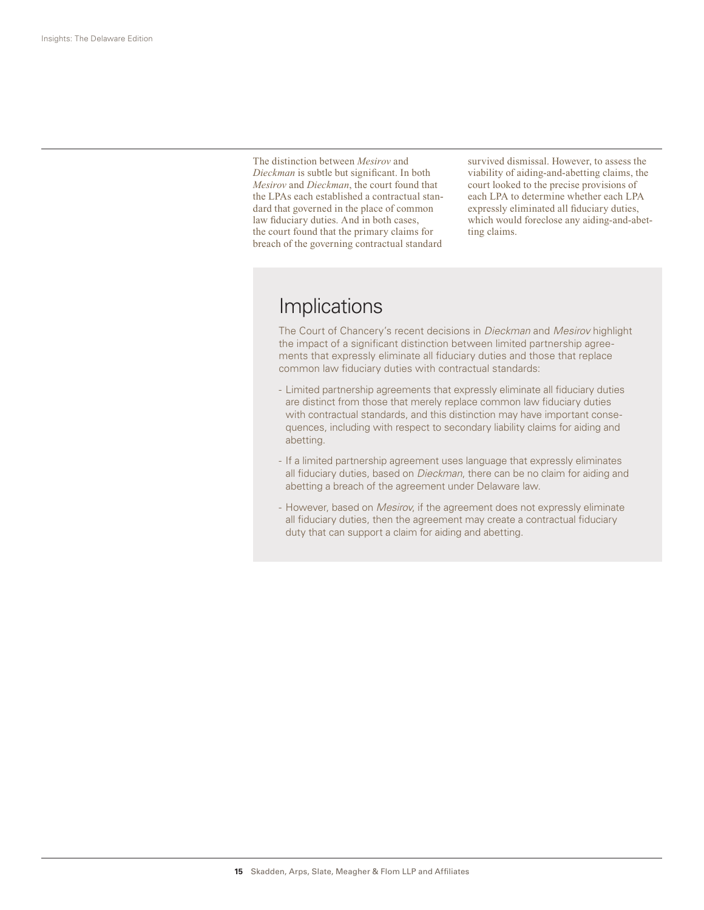The distinction between *Mesirov* and *Dieckman* is subtle but significant. In both *Mesirov* and *Dieckman*, the court found that the LPAs each established a contractual standard that governed in the place of common law fiduciary duties. And in both cases, the court found that the primary claims for breach of the governing contractual standard

survived dismissal. However, to assess the viability of aiding-and-abetting claims, the court looked to the precise provisions of each LPA to determine whether each LPA expressly eliminated all fiduciary duties, which would foreclose any aiding-and-abetting claims.

## Implications

The Court of Chancery's recent decisions in *Dieckman* and *Mesirov* highlight the impact of a significant distinction between limited partnership agreements that expressly eliminate all fiduciary duties and those that replace common law fiduciary duties with contractual standards:

- Limited partnership agreements that expressly eliminate all fiduciary duties are distinct from those that merely replace common law fiduciary duties with contractual standards, and this distinction may have important consequences, including with respect to secondary liability claims for aiding and abetting.
- If a limited partnership agreement uses language that expressly eliminates all fiduciary duties, based on *Dieckman*, there can be no claim for aiding and abetting a breach of the agreement under Delaware law.
- However, based on *Mesirov*, if the agreement does not expressly eliminate all fiduciary duties, then the agreement may create a contractual fiduciary duty that can support a claim for aiding and abetting.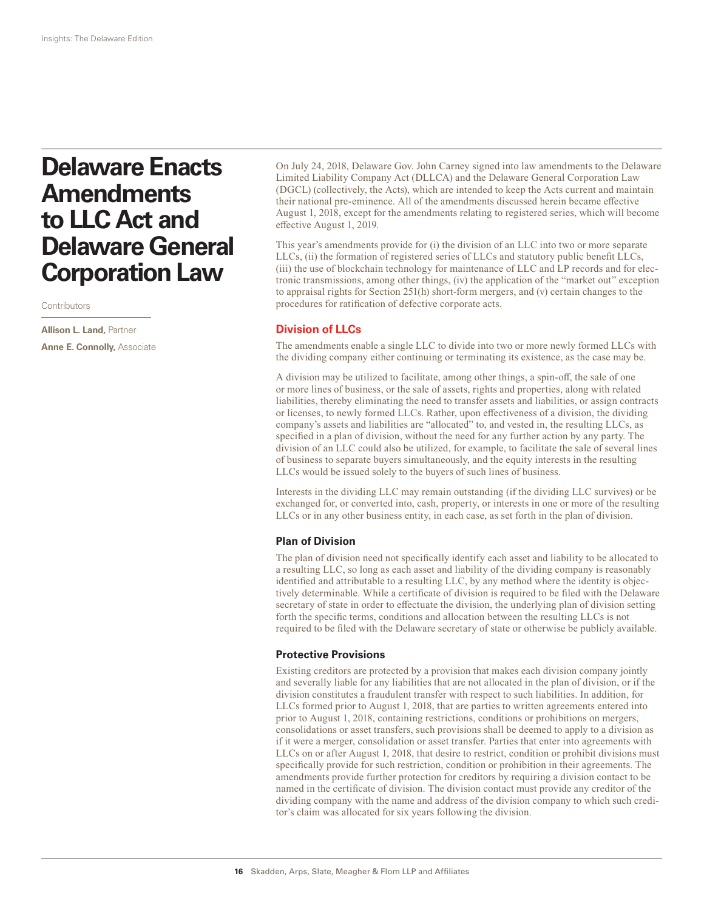# **Delaware Enacts Amendments to LLC Act and Delaware General Corporation Law**

**Contributors** 

**Allison L. Land,** Partner **Anne E. Connolly,** Associate

On July 24, 2018, Delaware Gov. John Carney signed into law amendments to the Delaware Limited Liability Company Act (DLLCA) and the Delaware General Corporation Law (DGCL) (collectively, the Acts), which are intended to keep the Acts current and maintain their national pre-eminence. All of the amendments discussed herein became effective August 1, 2018, except for the amendments relating to registered series, which will become effective August 1, 2019.

This year's amendments provide for (i) the division of an LLC into two or more separate LLCs, (ii) the formation of registered series of LLCs and statutory public benefit LLCs, (iii) the use of blockchain technology for maintenance of LLC and LP records and for electronic transmissions, among other things, (iv) the application of the "market out" exception to appraisal rights for Section 251(h) short-form mergers, and (v) certain changes to the procedures for ratification of defective corporate acts.

#### **Division of LLCs**

The amendments enable a single LLC to divide into two or more newly formed LLCs with the dividing company either continuing or terminating its existence, as the case may be.

A division may be utilized to facilitate, among other things, a spin-off, the sale of one or more lines of business, or the sale of assets, rights and properties, along with related liabilities, thereby eliminating the need to transfer assets and liabilities, or assign contracts or licenses, to newly formed LLCs. Rather, upon effectiveness of a division, the dividing company's assets and liabilities are "allocated" to, and vested in, the resulting LLCs, as specified in a plan of division, without the need for any further action by any party. The division of an LLC could also be utilized, for example, to facilitate the sale of several lines of business to separate buyers simultaneously, and the equity interests in the resulting LLCs would be issued solely to the buyers of such lines of business.

Interests in the dividing LLC may remain outstanding (if the dividing LLC survives) or be exchanged for, or converted into, cash, property, or interests in one or more of the resulting LLCs or in any other business entity, in each case, as set forth in the plan of division.

#### **Plan of Division**

The plan of division need not specifically identify each asset and liability to be allocated to a resulting LLC, so long as each asset and liability of the dividing company is reasonably identified and attributable to a resulting LLC, by any method where the identity is objectively determinable. While a certificate of division is required to be filed with the Delaware secretary of state in order to effectuate the division, the underlying plan of division setting forth the specific terms, conditions and allocation between the resulting LLCs is not required to be filed with the Delaware secretary of state or otherwise be publicly available.

#### **Protective Provisions**

Existing creditors are protected by a provision that makes each division company jointly and severally liable for any liabilities that are not allocated in the plan of division, or if the division constitutes a fraudulent transfer with respect to such liabilities. In addition, for LLCs formed prior to August 1, 2018, that are parties to written agreements entered into prior to August 1, 2018, containing restrictions, conditions or prohibitions on mergers, consolidations or asset transfers, such provisions shall be deemed to apply to a division as if it were a merger, consolidation or asset transfer. Parties that enter into agreements with LLCs on or after August 1, 2018, that desire to restrict, condition or prohibit divisions must specifically provide for such restriction, condition or prohibition in their agreements. The amendments provide further protection for creditors by requiring a division contact to be named in the certificate of division. The division contact must provide any creditor of the dividing company with the name and address of the division company to which such creditor's claim was allocated for six years following the division.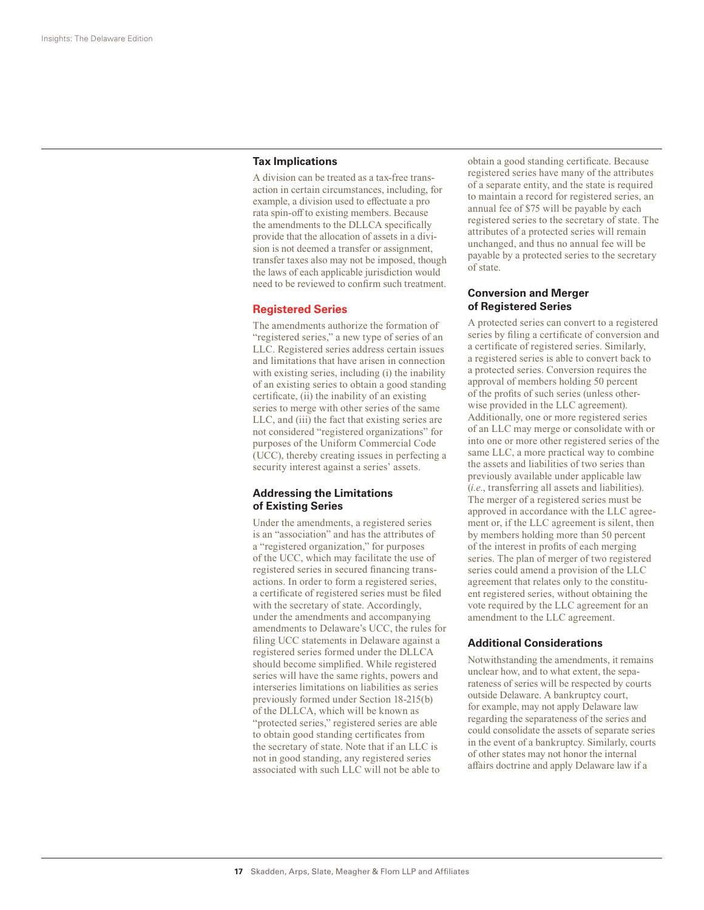#### **Tax Implications**

A division can be treated as a tax-free transaction in certain circumstances, including, for example, a division used to effectuate a pro rata spin-off to existing members. Because the amendments to the DLLCA specifically provide that the allocation of assets in a division is not deemed a transfer or assignment, transfer taxes also may not be imposed, though the laws of each applicable jurisdiction would need to be reviewed to confirm such treatment.

#### **Registered Series**

The amendments authorize the formation of "registered series," a new type of series of an LLC. Registered series address certain issues and limitations that have arisen in connection with existing series, including (i) the inability of an existing series to obtain a good standing certificate, (ii) the inability of an existing series to merge with other series of the same LLC, and (iii) the fact that existing series are not considered "registered organizations" for purposes of the Uniform Commercial Code (UCC), thereby creating issues in perfecting a security interest against a series' assets.

#### **Addressing the Limitations of Existing Series**

Under the amendments, a registered series is an "association" and has the attributes of a "registered organization," for purposes of the UCC, which may facilitate the use of registered series in secured financing transactions. In order to form a registered series, a certificate of registered series must be filed with the secretary of state. Accordingly, under the amendments and accompanying amendments to Delaware's UCC, the rules for filing UCC statements in Delaware against a registered series formed under the DLLCA should become simplified. While registered series will have the same rights, powers and interseries limitations on liabilities as series previously formed under Section 18-215(b) of the DLLCA, which will be known as "protected series," registered series are able to obtain good standing certificates from the secretary of state. Note that if an LLC is not in good standing, any registered series associated with such LLC will not be able to

obtain a good standing certificate. Because registered series have many of the attributes of a separate entity, and the state is required to maintain a record for registered series, an annual fee of \$75 will be payable by each registered series to the secretary of state. The attributes of a protected series will remain unchanged, and thus no annual fee will be payable by a protected series to the secretary of state.

#### **Conversion and Merger of Registered Series**

A protected series can convert to a registered series by filing a certificate of conversion and a certificate of registered series. Similarly, a registered series is able to convert back to a protected series. Conversion requires the approval of members holding 50 percent of the profits of such series (unless otherwise provided in the LLC agreement). Additionally, one or more registered series of an LLC may merge or consolidate with or into one or more other registered series of the same LLC, a more practical way to combine the assets and liabilities of two series than previously available under applicable law (*i.e.*, transferring all assets and liabilities). The merger of a registered series must be approved in accordance with the LLC agreement or, if the LLC agreement is silent, then by members holding more than 50 percent of the interest in profits of each merging series. The plan of merger of two registered series could amend a provision of the LLC agreement that relates only to the constituent registered series, without obtaining the vote required by the LLC agreement for an amendment to the LLC agreement.

#### **Additional Considerations**

Notwithstanding the amendments, it remains unclear how, and to what extent, the separateness of series will be respected by courts outside Delaware. A bankruptcy court, for example, may not apply Delaware law regarding the separateness of the series and could consolidate the assets of separate series in the event of a bankruptcy. Similarly, courts of other states may not honor the internal affairs doctrine and apply Delaware law if a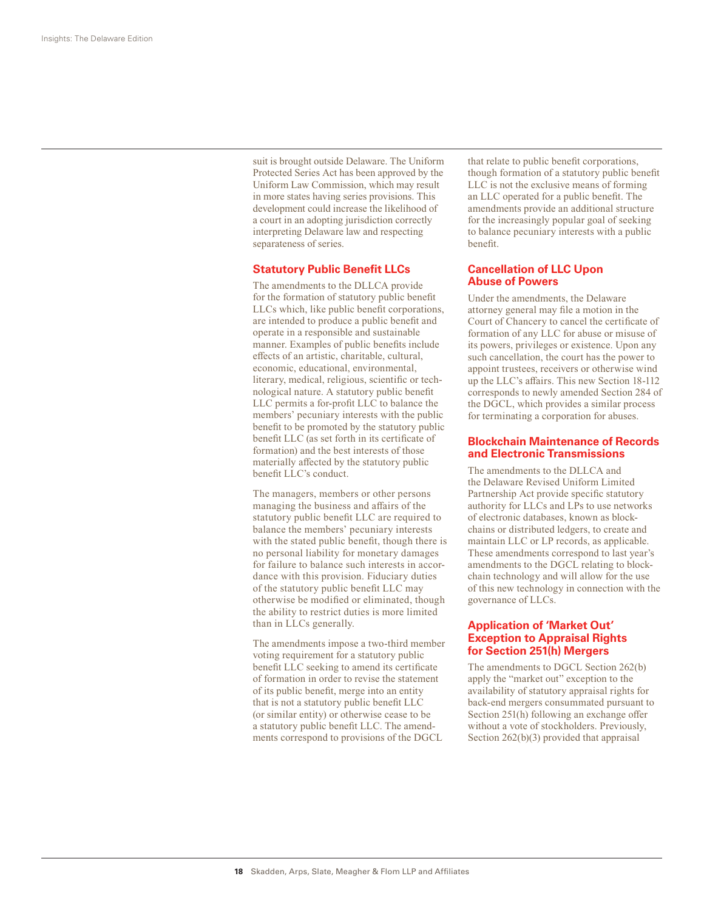suit is brought outside Delaware. The Uniform Protected Series Act has been approved by the Uniform Law Commission, which may result in more states having series provisions. This development could increase the likelihood of a court in an adopting jurisdiction correctly interpreting Delaware law and respecting separateness of series.

#### **Statutory Public Benefit LLCs**

The amendments to the DLLCA provide for the formation of statutory public benefit LLCs which, like public benefit corporations, are intended to produce a public benefit and operate in a responsible and sustainable manner. Examples of public benefits include effects of an artistic, charitable, cultural, economic, educational, environmental, literary, medical, religious, scientific or technological nature. A statutory public benefit LLC permits a for-profit LLC to balance the members' pecuniary interests with the public benefit to be promoted by the statutory public benefit LLC (as set forth in its certificate of formation) and the best interests of those materially affected by the statutory public benefit LLC's conduct.

The managers, members or other persons managing the business and affairs of the statutory public benefit LLC are required to balance the members' pecuniary interests with the stated public benefit, though there is no personal liability for monetary damages for failure to balance such interests in accordance with this provision. Fiduciary duties of the statutory public benefit LLC may otherwise be modified or eliminated, though the ability to restrict duties is more limited than in LLCs generally.

The amendments impose a two-third member voting requirement for a statutory public benefit LLC seeking to amend its certificate of formation in order to revise the statement of its public benefit, merge into an entity that is not a statutory public benefit LLC (or similar entity) or otherwise cease to be a statutory public benefit LLC. The amendments correspond to provisions of the DGCL

that relate to public benefit corporations, though formation of a statutory public benefit LLC is not the exclusive means of forming an LLC operated for a public benefit. The amendments provide an additional structure for the increasingly popular goal of seeking to balance pecuniary interests with a public benefit.

#### **Cancellation of LLC Upon Abuse of Powers**

Under the amendments, the Delaware attorney general may file a motion in the Court of Chancery to cancel the certificate of formation of any LLC for abuse or misuse of its powers, privileges or existence. Upon any such cancellation, the court has the power to appoint trustees, receivers or otherwise wind up the LLC's affairs. This new Section 18-112 corresponds to newly amended Section 284 of the DGCL, which provides a similar process for terminating a corporation for abuses.

#### **Blockchain Maintenance of Records and Electronic Transmissions**

The amendments to the DLLCA and the Delaware Revised Uniform Limited Partnership Act provide specific statutory authority for LLCs and LPs to use networks of electronic databases, known as blockchains or distributed ledgers, to create and maintain LLC or LP records, as applicable. These amendments correspond to last year's amendments to the DGCL relating to blockchain technology and will allow for the use of this new technology in connection with the governance of LLCs.

#### **Application of 'Market Out' Exception to Appraisal Rights for Section 251(h) Mergers**

The amendments to DGCL Section 262(b) apply the "market out" exception to the availability of statutory appraisal rights for back-end mergers consummated pursuant to Section 251(h) following an exchange offer without a vote of stockholders. Previously, Section 262(b)(3) provided that appraisal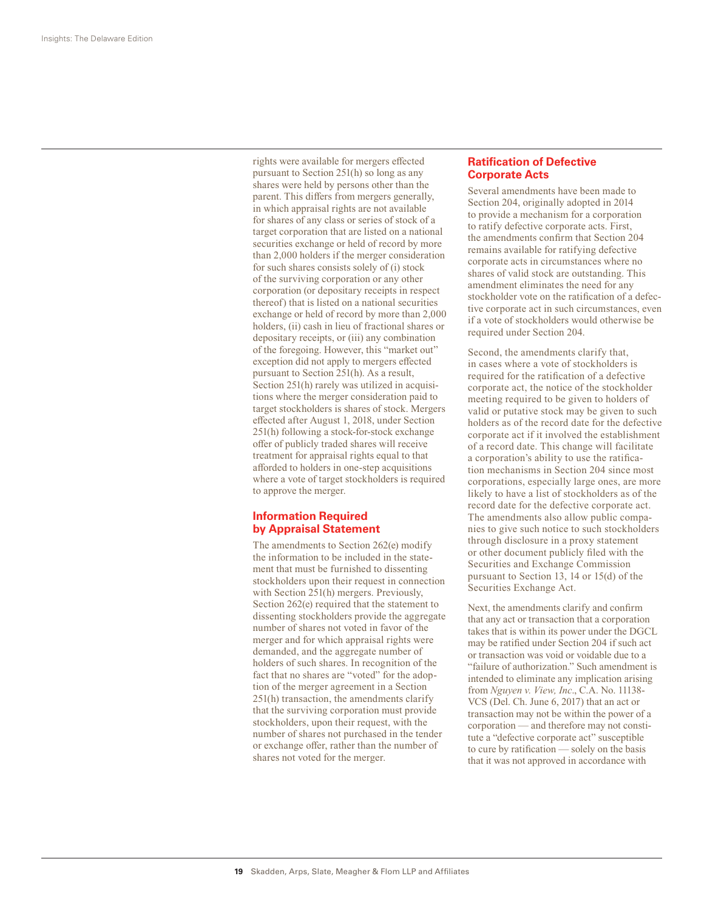rights were available for mergers effected pursuant to Section 251(h) so long as any shares were held by persons other than the parent. This differs from mergers generally, in which appraisal rights are not available for shares of any class or series of stock of a target corporation that are listed on a national securities exchange or held of record by more than 2,000 holders if the merger consideration for such shares consists solely of (i) stock of the surviving corporation or any other corporation (or depositary receipts in respect thereof) that is listed on a national securities exchange or held of record by more than 2,000 holders, (ii) cash in lieu of fractional shares or depositary receipts, or (iii) any combination of the foregoing. However, this "market out" exception did not apply to mergers effected pursuant to Section 251(h). As a result, Section 251(h) rarely was utilized in acquisitions where the merger consideration paid to target stockholders is shares of stock. Mergers effected after August 1, 2018, under Section 251(h) following a stock-for-stock exchange offer of publicly traded shares will receive treatment for appraisal rights equal to that afforded to holders in one-step acquisitions where a vote of target stockholders is required to approve the merger.

#### **Information Required by Appraisal Statement**

The amendments to Section 262(e) modify the information to be included in the statement that must be furnished to dissenting stockholders upon their request in connection with Section 251(h) mergers. Previously, Section 262(e) required that the statement to dissenting stockholders provide the aggregate number of shares not voted in favor of the merger and for which appraisal rights were demanded, and the aggregate number of holders of such shares. In recognition of the fact that no shares are "voted" for the adoption of the merger agreement in a Section 251(h) transaction, the amendments clarify that the surviving corporation must provide stockholders, upon their request, with the number of shares not purchased in the tender or exchange offer, rather than the number of shares not voted for the merger.

#### **Ratification of Defective Corporate Acts**

Several amendments have been made to Section 204, originally adopted in 2014 to provide a mechanism for a corporation to ratify defective corporate acts. First, the amendments confirm that Section 204 remains available for ratifying defective corporate acts in circumstances where no shares of valid stock are outstanding. This amendment eliminates the need for any stockholder vote on the ratification of a defective corporate act in such circumstances, even if a vote of stockholders would otherwise be required under Section 204.

Second, the amendments clarify that, in cases where a vote of stockholders is required for the ratification of a defective corporate act, the notice of the stockholder meeting required to be given to holders of valid or putative stock may be given to such holders as of the record date for the defective corporate act if it involved the establishment of a record date. This change will facilitate a corporation's ability to use the ratification mechanisms in Section 204 since most corporations, especially large ones, are more likely to have a list of stockholders as of the record date for the defective corporate act. The amendments also allow public companies to give such notice to such stockholders through disclosure in a proxy statement or other document publicly filed with the Securities and Exchange Commission pursuant to Section 13, 14 or 15(d) of the Securities Exchange Act.

Next, the amendments clarify and confirm that any act or transaction that a corporation takes that is within its power under the DGCL may be ratified under Section 204 if such act or transaction was void or voidable due to a "failure of authorization." Such amendment is intended to eliminate any implication arising from *Nguyen v. View, Inc*., C.A. No. 11138- VCS (Del. Ch. June 6, 2017) that an act or transaction may not be within the power of a corporation — and therefore may not constitute a "defective corporate act" susceptible to cure by ratification — solely on the basis that it was not approved in accordance with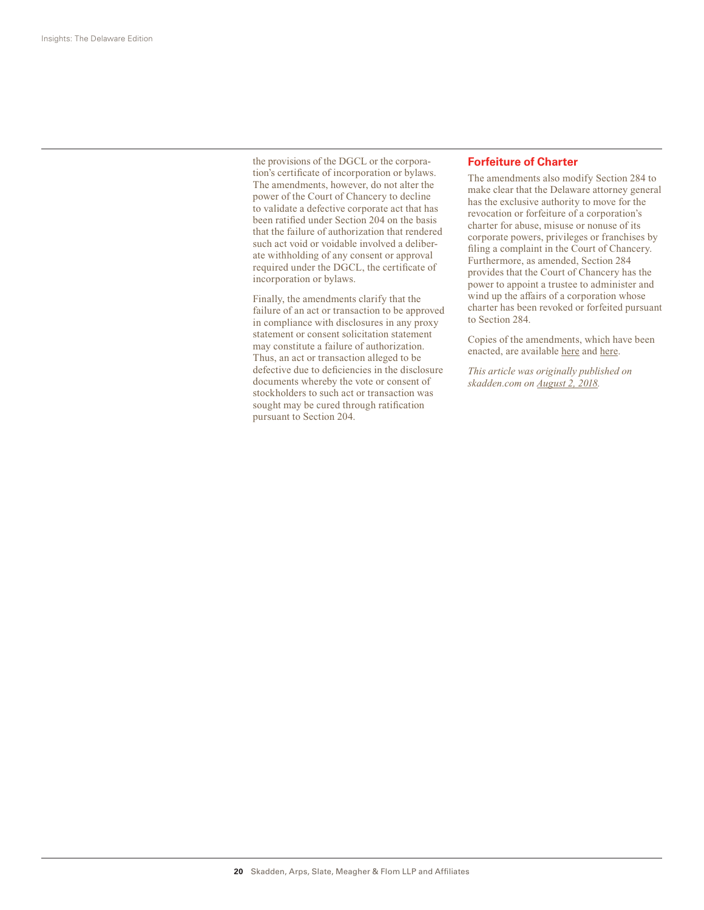the provisions of the DGCL or the corporation's certificate of incorporation or bylaws. The amendments, however, do not alter the power of the Court of Chancery to decline to validate a defective corporate act that has been ratified under Section 204 on the basis that the failure of authorization that rendered such act void or voidable involved a deliberate withholding of any consent or approval required under the DGCL, the certificate of incorporation or bylaws.

Finally, the amendments clarify that the failure of an act or transaction to be approved in compliance with disclosures in any proxy statement or consent solicitation statement may constitute a failure of authorization. Thus, an act or transaction alleged to be defective due to deficiencies in the disclosure documents whereby the vote or consent of stockholders to such act or transaction was sought may be cured through ratification pursuant to Section 204.

#### **Forfeiture of Charter**

The amendments also modify Section 284 to make clear that the Delaware attorney general has the exclusive authority to move for the revocation or forfeiture of a corporation's charter for abuse, misuse or nonuse of its corporate powers, privileges or franchises by filing a complaint in the Court of Chancery. Furthermore, as amended, Section 284 provides that the Court of Chancery has the power to appoint a trustee to administer and wind up the affairs of a corporation whose charter has been revoked or forfeited pursuant to Section 284.

Copies of the amendments, which have been enacted, are available here and here.

*This article was originally published on skadden.com on August 2, 2018.*